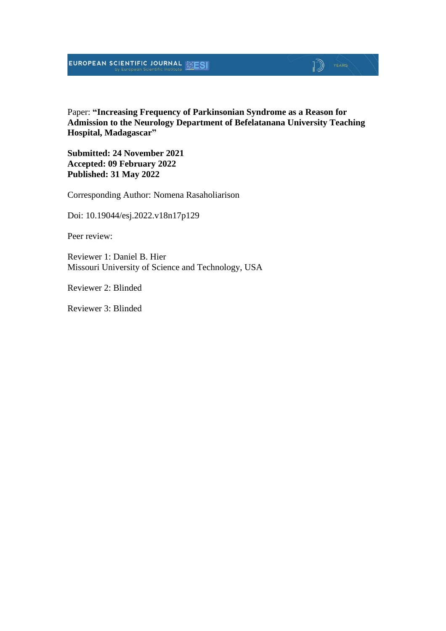### **EUROPEAN SCIENTIFIC JOURNAL EXESI**

### $\mathbb{D}$   $\mathbb{P}$   $\mathbb{P}$   $\mathbb{P}$   $\mathbb{P}$   $\mathbb{P}$   $\mathbb{P}$   $\mathbb{P}$   $\mathbb{P}$   $\mathbb{P}$   $\mathbb{P}$   $\mathbb{P}$   $\mathbb{P}$   $\mathbb{P}$   $\mathbb{P}$   $\mathbb{P}$   $\mathbb{P}$   $\mathbb{P}$   $\mathbb{P}$   $\mathbb{P}$   $\mathbb{P}$   $\mathbb{P}$   $\mathbb{P}$   $\mathbb{P}$   $\mathbb{$

Paper: **"Increasing Frequency of Parkinsonian Syndrome as a Reason for Admission to the Neurology Department of Befelatanana University Teaching Hospital, Madagascar"**

**Submitted: 24 November 2021 Accepted: 09 February 2022 Published: 31 May 2022**

Corresponding Author: Nomena Rasaholiarison

Doi: 10.19044/esj.2022.v18n17p129

Peer review:

Reviewer 1: Daniel B. Hier Missouri University of Science and Technology, USA

Reviewer 2: Blinded

Reviewer 3: Blinded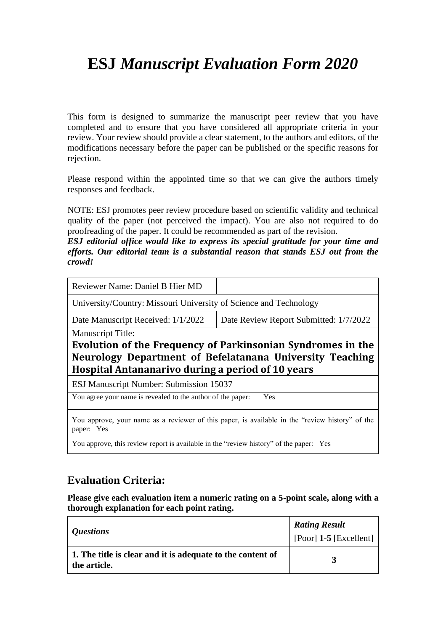## **ESJ** *Manuscript Evaluation Form 2020*

This form is designed to summarize the manuscript peer review that you have completed and to ensure that you have considered all appropriate criteria in your review. Your review should provide a clear statement, to the authors and editors, of the modifications necessary before the paper can be published or the specific reasons for rejection.

Please respond within the appointed time so that we can give the authors timely responses and feedback.

NOTE: ESJ promotes peer review procedure based on scientific validity and technical quality of the paper (not perceived the impact). You are also not required to do proofreading of the paper. It could be recommended as part of the revision.

*ESJ editorial office would like to express its special gratitude for your time and efforts. Our editorial team is a substantial reason that stands ESJ out from the crowd!*

| Reviewer Name: Daniel B Hier MD                                                                               |                                        |  |  |  |
|---------------------------------------------------------------------------------------------------------------|----------------------------------------|--|--|--|
| University/Country: Missouri University of Science and Technology                                             |                                        |  |  |  |
| Date Manuscript Received: 1/1/2022                                                                            | Date Review Report Submitted: 1/7/2022 |  |  |  |
| <b>Manuscript Title:</b>                                                                                      |                                        |  |  |  |
| Evolution of the Frequency of Parkinsonian Syndromes in the                                                   |                                        |  |  |  |
| Neurology Department of Befelatanana University Teaching<br>Hospital Antananarivo during a period of 10 years |                                        |  |  |  |
| <b>ESJ Manuscript Number: Submission 15037</b>                                                                |                                        |  |  |  |
| You agree your name is revealed to the author of the paper:<br>Yes                                            |                                        |  |  |  |
| You approve, your name as a reviewer of this paper, is available in the "review history" of the<br>paper: Yes |                                        |  |  |  |
|                                                                                                               |                                        |  |  |  |

You approve, this review report is available in the "review history" of the paper: Yes

### **Evaluation Criteria:**

**Please give each evaluation item a numeric rating on a 5-point scale, along with a thorough explanation for each point rating.**

| <i><b>Questions</b></i>                                                    | <b>Rating Result</b><br>[Poor] $1-5$ [Excellent] |
|----------------------------------------------------------------------------|--------------------------------------------------|
| 1. The title is clear and it is adequate to the content of<br>the article. |                                                  |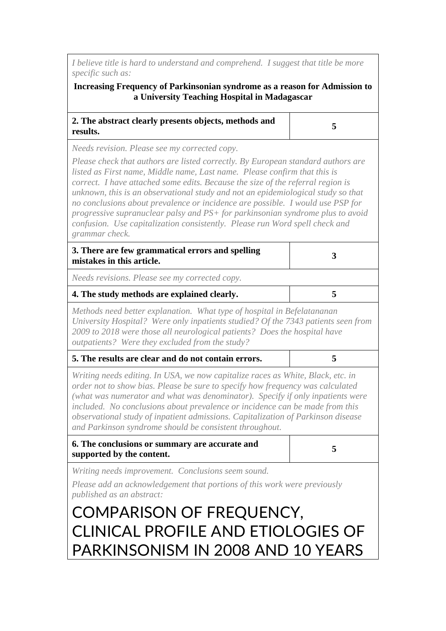*I believe title is hard to understand and comprehend. I suggest that title be more specific such as:*

#### **Increasing Frequency of Parkinsonian syndrome as a reason for Admission to a University Teaching Hospital in Madagascar**

| 2. The abstract clearly presents objects, methods and |  |
|-------------------------------------------------------|--|
| results.                                              |  |

*Needs revision. Please see my corrected copy.*

*Please check that authors are listed correctly. By European standard authors are listed as First name, Middle name, Last name. Please confirm that this is correct. I have attached some edits. Because the size of the referral region is unknown, this is an observational study and not an epidemiological study so that no conclusions about prevalence or incidence are possible. I would use PSP for progressive supranuclear palsy and PS+ for parkinsonian syndrome plus to avoid confusion. Use capitalization consistently. Please run Word spell check and grammar check.*

| 3. There are few grammatical errors and spelling<br>mistakes in this article. |  |
|-------------------------------------------------------------------------------|--|
|                                                                               |  |

*Needs revisions. Please see my corrected copy.*

#### **4. The study methods are explained clearly. 5**

*Methods need better explanation. What type of hospital in Befelatananan University Hospital? Were only inpatients studied? Of the 7343 patients seen from 2009 to 2018 were those all neurological patients? Does the hospital have outpatients? Were they excluded from the study?*

| 5. The results are clear and do not contain errors. |  |
|-----------------------------------------------------|--|
|-----------------------------------------------------|--|

*Writing needs editing. In USA, we now capitalize races as White, Black, etc. in order not to show bias. Please be sure to specify how frequency was calculated (what was numerator and what was denominator). Specify if only inpatients were included. No conclusions about prevalence or incidence can be made from this observational study of inpatient admissions. Capitalization of Parkinson disease and Parkinson syndrome should be consistent throughout.*

| 6. The conclusions or summary are accurate and |  |
|------------------------------------------------|--|
| supported by the content.                      |  |

*Writing needs improvement. Conclusions seem sound.*

*Please add an acknowledgement that portions of this work were previously published as an abstract:*

# COMPARISON OF FREQUENCY, CLINICAL PROFILE AND ETIOLOGIES OF PARKINSONISM IN 2008 AND 10 YEARS